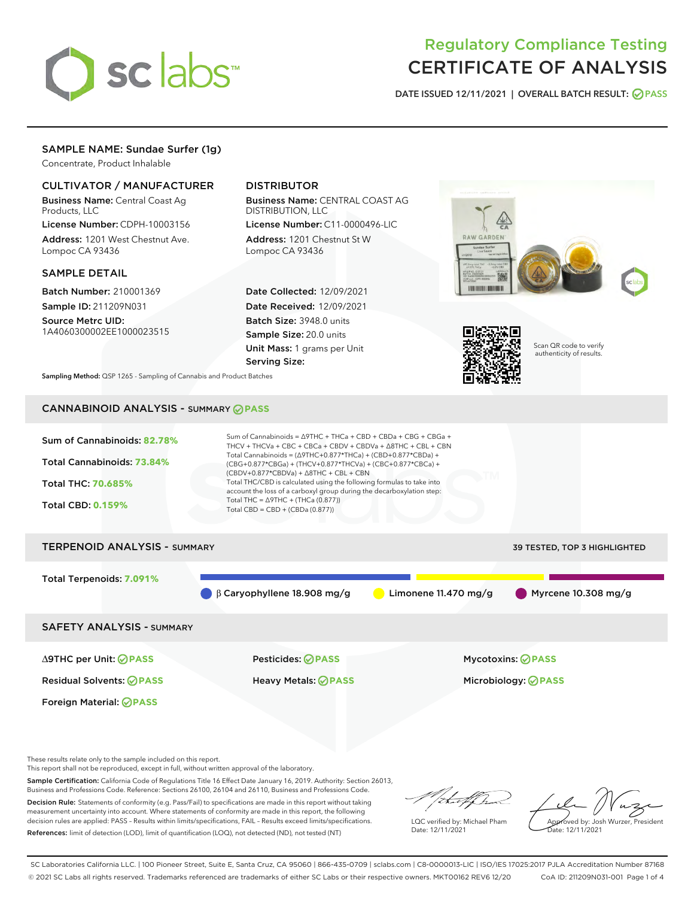

# Regulatory Compliance Testing CERTIFICATE OF ANALYSIS

DATE ISSUED 12/11/2021 | OVERALL BATCH RESULT: @ PASS

# SAMPLE NAME: Sundae Surfer (1g)

Concentrate, Product Inhalable

# CULTIVATOR / MANUFACTURER

Business Name: Central Coast Ag Products, LLC

License Number: CDPH-10003156 Address: 1201 West Chestnut Ave. Lompoc CA 93436

### SAMPLE DETAIL

Batch Number: 210001369 Sample ID: 211209N031

Source Metrc UID: 1A4060300002EE1000023515

# DISTRIBUTOR

Business Name: CENTRAL COAST AG DISTRIBUTION, LLC License Number: C11-0000496-LIC

Address: 1201 Chestnut St W Lompoc CA 93436

Date Collected: 12/09/2021 Date Received: 12/09/2021 Batch Size: 3948.0 units Sample Size: 20.0 units Unit Mass: 1 grams per Unit Serving Size:





Scan QR code to verify authenticity of results.

Sampling Method: QSP 1265 - Sampling of Cannabis and Product Batches

# CANNABINOID ANALYSIS - SUMMARY **PASS**



These results relate only to the sample included on this report.

This report shall not be reproduced, except in full, without written approval of the laboratory.

Sample Certification: California Code of Regulations Title 16 Effect Date January 16, 2019. Authority: Section 26013, Business and Professions Code. Reference: Sections 26100, 26104 and 26110, Business and Professions Code. Decision Rule: Statements of conformity (e.g. Pass/Fail) to specifications are made in this report without taking

measurement uncertainty into account. Where statements of conformity are made in this report, the following decision rules are applied: PASS – Results within limits/specifications, FAIL – Results exceed limits/specifications. References: limit of detection (LOD), limit of quantification (LOQ), not detected (ND), not tested (NT)

that f(ha

LQC verified by: Michael Pham Date: 12/11/2021

Approved by: Josh Wurzer, President ate: 12/11/2021

SC Laboratories California LLC. | 100 Pioneer Street, Suite E, Santa Cruz, CA 95060 | 866-435-0709 | sclabs.com | C8-0000013-LIC | ISO/IES 17025:2017 PJLA Accreditation Number 87168 © 2021 SC Labs all rights reserved. Trademarks referenced are trademarks of either SC Labs or their respective owners. MKT00162 REV6 12/20 CoA ID: 211209N031-001 Page 1 of 4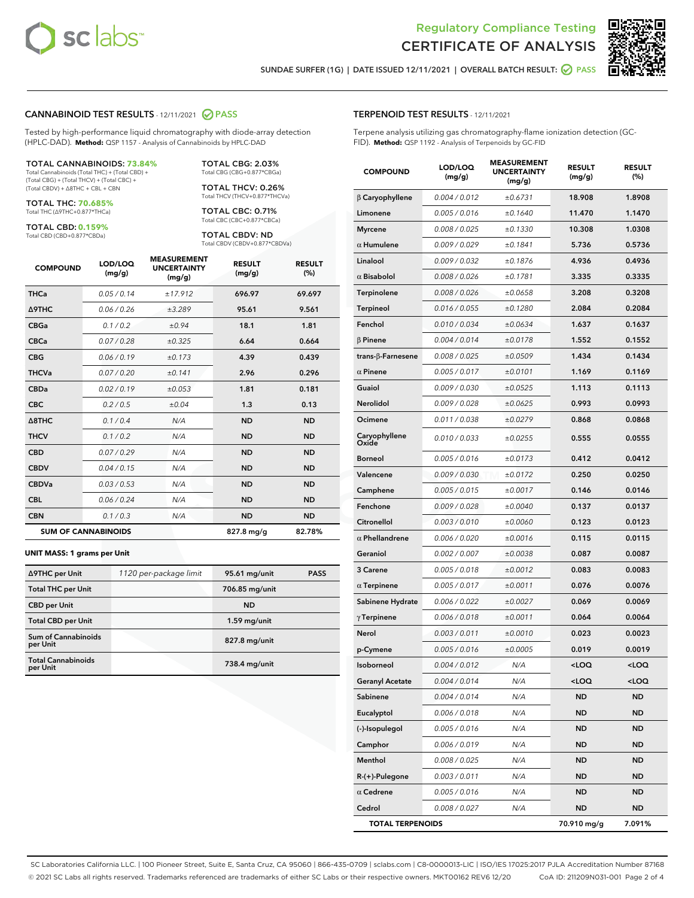



SUNDAE SURFER (1G) | DATE ISSUED 12/11/2021 | OVERALL BATCH RESULT: @ PASS

#### CANNABINOID TEST RESULTS - 12/11/2021 2 PASS

Tested by high-performance liquid chromatography with diode-array detection (HPLC-DAD). **Method:** QSP 1157 - Analysis of Cannabinoids by HPLC-DAD

#### TOTAL CANNABINOIDS: **73.84%**

Total Cannabinoids (Total THC) + (Total CBD) + (Total CBG) + (Total THCV) + (Total CBC) + (Total CBDV) + ∆8THC + CBL + CBN

TOTAL THC: **70.685%** Total THC (∆9THC+0.877\*THCa)

TOTAL CBD: **0.159%**

Total CBD (CBD+0.877\*CBDa)

TOTAL CBG: 2.03% Total CBG (CBG+0.877\*CBGa)

TOTAL THCV: 0.26% Total THCV (THCV+0.877\*THCVa)

TOTAL CBC: 0.71% Total CBC (CBC+0.877\*CBCa)

TOTAL CBDV: ND Total CBDV (CBDV+0.877\*CBDVa)

| <b>COMPOUND</b>            | LOD/LOQ<br>(mg/g) | <b>MEASUREMENT</b><br><b>UNCERTAINTY</b><br>(mg/g) | <b>RESULT</b><br>(mg/g) | <b>RESULT</b><br>(%) |
|----------------------------|-------------------|----------------------------------------------------|-------------------------|----------------------|
| <b>THCa</b>                | 0.05/0.14         | ±17.912                                            | 696.97                  | 69.697               |
| <b>A9THC</b>               | 0.06 / 0.26       | ±3.289                                             | 95.61                   | 9.561                |
| <b>CBGa</b>                | 0.1/0.2           | ±0.94                                              | 18.1                    | 1.81                 |
| <b>CBCa</b>                | 0.07/0.28         | ±0.325                                             | 6.64                    | 0.664                |
| <b>CBG</b>                 | 0.06/0.19         | ±0.173                                             | 4.39                    | 0.439                |
| <b>THCVa</b>               | 0.07/0.20         | ±0.141                                             | 2.96                    | 0.296                |
| <b>CBDa</b>                | 0.02/0.19         | ±0.053                                             | 1.81                    | 0.181                |
| <b>CBC</b>                 | 0.2 / 0.5         | ±0.04                                              | 1.3                     | 0.13                 |
| $\triangle$ 8THC           | 0.1 / 0.4         | N/A                                                | <b>ND</b>               | <b>ND</b>            |
| <b>THCV</b>                | 0.1 / 0.2         | N/A                                                | <b>ND</b>               | <b>ND</b>            |
| <b>CBD</b>                 | 0.07/0.29         | N/A                                                | <b>ND</b>               | <b>ND</b>            |
| <b>CBDV</b>                | 0.04 / 0.15       | N/A                                                | <b>ND</b>               | <b>ND</b>            |
| <b>CBDVa</b>               | 0.03 / 0.53       | N/A                                                | <b>ND</b>               | <b>ND</b>            |
| <b>CBL</b>                 | 0.06 / 0.24       | N/A                                                | <b>ND</b>               | <b>ND</b>            |
| <b>CBN</b>                 | 0.1/0.3           | N/A                                                | <b>ND</b>               | <b>ND</b>            |
| <b>SUM OF CANNABINOIDS</b> |                   |                                                    | 827.8 mg/g              | 82.78%               |

#### **UNIT MASS: 1 grams per Unit**

| ∆9THC per Unit                        | 1120 per-package limit | 95.61 mg/unit  | <b>PASS</b> |
|---------------------------------------|------------------------|----------------|-------------|
| <b>Total THC per Unit</b>             |                        | 706.85 mg/unit |             |
| <b>CBD per Unit</b>                   |                        | <b>ND</b>      |             |
| <b>Total CBD per Unit</b>             |                        | $1.59$ mg/unit |             |
| Sum of Cannabinoids<br>per Unit       |                        | 827.8 mg/unit  |             |
| <b>Total Cannabinoids</b><br>per Unit |                        | 738.4 mg/unit  |             |

| <b>COMPOUND</b>         | LOD/LOQ<br>(mg/g) | <b>MEASUREMENT</b><br><b>UNCERTAINTY</b><br>(mg/g) | <b>RESULT</b><br>(mg/g)                         | <b>RESULT</b><br>$(\%)$ |
|-------------------------|-------------------|----------------------------------------------------|-------------------------------------------------|-------------------------|
| $\beta$ Caryophyllene   | 0.004 / 0.012     | ±0.6731                                            | 18.908                                          | 1.8908                  |
| Limonene                | 0.005 / 0.016     | ±0.1640                                            | 11.470                                          | 1.1470                  |
| <b>Myrcene</b>          | 0.008 / 0.025     | ±0.1330                                            | 10.308                                          | 1.0308                  |
| $\alpha$ Humulene       | 0.009 / 0.029     | ±0.1841                                            | 5.736                                           | 0.5736                  |
| Linalool                | 0.009 / 0.032     | ±0.1876                                            | 4.936                                           | 0.4936                  |
| $\alpha$ Bisabolol      | 0.008 / 0.026     | ±0.1781                                            | 3.335                                           | 0.3335                  |
| Terpinolene             | 0.008 / 0.026     | ±0.0658                                            | 3.208                                           | 0.3208                  |
| Terpineol               | 0.016 / 0.055     | ±0.1280                                            | 2.084                                           | 0.2084                  |
| Fenchol                 | 0.010 / 0.034     | ±0.0634                                            | 1.637                                           | 0.1637                  |
| $\beta$ Pinene          | 0.004 / 0.014     | ±0.0178                                            | 1.552                                           | 0.1552                  |
| trans-β-Farnesene       | 0.008 / 0.025     | ±0.0509                                            | 1.434                                           | 0.1434                  |
| $\alpha$ Pinene         | 0.005 / 0.017     | ±0.0101                                            | 1.169                                           | 0.1169                  |
| Guaiol                  | 0.009 / 0.030     | ±0.0525                                            | 1.113                                           | 0.1113                  |
| <b>Nerolidol</b>        | 0.009 / 0.028     | ±0.0625                                            | 0.993                                           | 0.0993                  |
| Ocimene                 | 0.011 / 0.038     | ±0.0279                                            | 0.868                                           | 0.0868                  |
| Caryophyllene<br>Oxide  | 0.010 / 0.033     | ±0.0255                                            | 0.555                                           | 0.0555                  |
| <b>Borneol</b>          | 0.005 / 0.016     | ±0.0173                                            | 0.412                                           | 0.0412                  |
| Valencene               | 0.009 / 0.030     | ±0.0172                                            | 0.250                                           | 0.0250                  |
| Camphene                | 0.005 / 0.015     | ±0.0017                                            | 0.146                                           | 0.0146                  |
| Fenchone                | 0.009 / 0.028     | ±0.0040                                            | 0.137                                           | 0.0137                  |
| Citronellol             | 0.003 / 0.010     | ±0.0060                                            | 0.123                                           | 0.0123                  |
| $\alpha$ Phellandrene   | 0.006 / 0.020     | ±0.0016                                            | 0.115                                           | 0.0115                  |
| Geraniol                | 0.002 / 0.007     | ±0.0038                                            | 0.087                                           | 0.0087                  |
| 3 Carene                | 0.005 / 0.018     | ±0.0012                                            | 0.083                                           | 0.0083                  |
| $\alpha$ Terpinene      | 0.005 / 0.017     | ±0.0011                                            | 0.076                                           | 0.0076                  |
| Sabinene Hydrate        | 0.006 / 0.022     | ±0.0027                                            | 0.069                                           | 0.0069                  |
| $\gamma$ Terpinene      | 0.006 / 0.018     | ±0.0011                                            | 0.064                                           | 0.0064                  |
| Nerol                   | 0.003 / 0.011     | ±0.0010                                            | 0.023                                           | 0.0023                  |
| p-Cymene                | 0.005 / 0.016     | ±0.0005                                            | 0.019                                           | 0.0019                  |
| Isoborneol              | 0.004 / 0.012     | N/A                                                | <loq< th=""><th><loq< th=""></loq<></th></loq<> | <loq< th=""></loq<>     |
| <b>Geranyl Acetate</b>  | 0.004 / 0.014     | N/A                                                | <loq< th=""><th><loq< th=""></loq<></th></loq<> | <loq< th=""></loq<>     |
| Sabinene                | 0.004 / 0.014     | N/A                                                | ND                                              | ND                      |
| Eucalyptol              | 0.006 / 0.018     | N/A                                                | ND                                              | ND                      |
| (-)-Isopulegol          | 0.005 / 0.016     | N/A                                                | ND                                              | ND                      |
| Camphor                 | 0.006 / 0.019     | N/A                                                | ND                                              | ND                      |
| Menthol                 | 0.008 / 0.025     | N/A                                                | ND                                              | ND                      |
| R-(+)-Pulegone          | 0.003 / 0.011     | N/A                                                | ND                                              | ND                      |
| $\alpha$ Cedrene        | 0.005 / 0.016     | N/A                                                | ND                                              | ND                      |
| Cedrol                  | 0.008 / 0.027     | N/A                                                | ND                                              | ND                      |
| <b>TOTAL TERPENOIDS</b> |                   |                                                    | 70.910 mg/g                                     | 7.091%                  |

SC Laboratories California LLC. | 100 Pioneer Street, Suite E, Santa Cruz, CA 95060 | 866-435-0709 | sclabs.com | C8-0000013-LIC | ISO/IES 17025:2017 PJLA Accreditation Number 87168 © 2021 SC Labs all rights reserved. Trademarks referenced are trademarks of either SC Labs or their respective owners. MKT00162 REV6 12/20 CoA ID: 211209N031-001 Page 2 of 4

# TERPENOID TEST RESULTS - 12/11/2021

Terpene analysis utilizing gas chromatography-flame ionization detection (GC-FID). **Method:** QSP 1192 - Analysis of Terpenoids by GC-FID

MEASUREMENT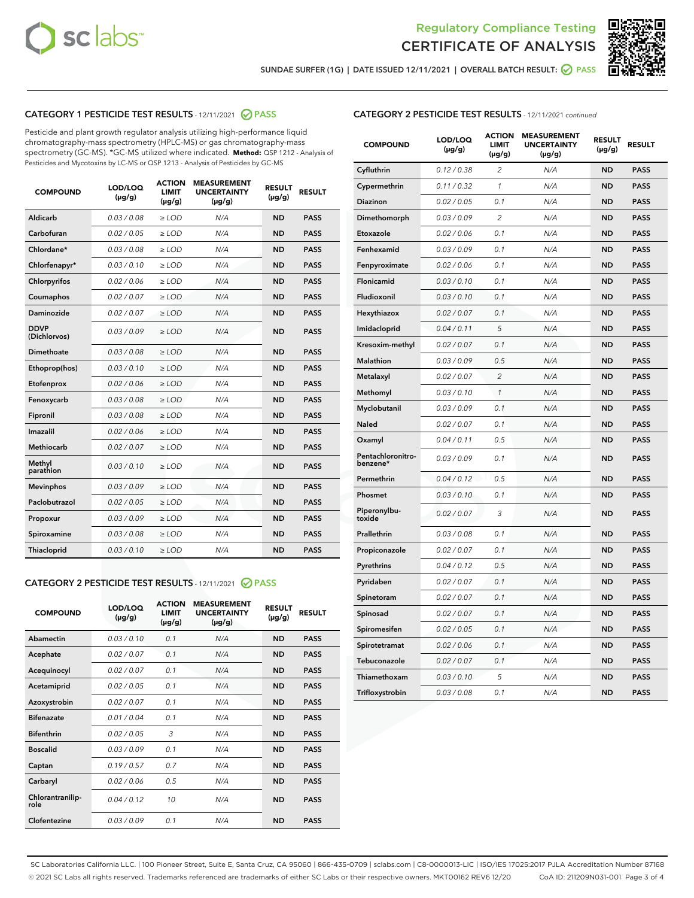



SUNDAE SURFER (1G) | DATE ISSUED 12/11/2021 | OVERALL BATCH RESULT: 2 PASS

# CATEGORY 1 PESTICIDE TEST RESULTS - 12/11/2021 2 PASS

Pesticide and plant growth regulator analysis utilizing high-performance liquid chromatography-mass spectrometry (HPLC-MS) or gas chromatography-mass spectrometry (GC-MS). \*GC-MS utilized where indicated. **Method:** QSP 1212 - Analysis of Pesticides and Mycotoxins by LC-MS or QSP 1213 - Analysis of Pesticides by GC-MS

| <b>COMPOUND</b>             | LOD/LOQ<br>$(\mu g/g)$ | <b>ACTION</b><br><b>LIMIT</b><br>$(\mu g/g)$ | <b>MEASUREMENT</b><br><b>UNCERTAINTY</b><br>$(\mu g/g)$ | <b>RESULT</b><br>$(\mu g/g)$ | <b>RESULT</b> |
|-----------------------------|------------------------|----------------------------------------------|---------------------------------------------------------|------------------------------|---------------|
| Aldicarb                    | 0.03 / 0.08            | $\ge$ LOD                                    | N/A                                                     | <b>ND</b>                    | <b>PASS</b>   |
| Carbofuran                  | 0.02 / 0.05            | $\ge$ LOD                                    | N/A                                                     | <b>ND</b>                    | <b>PASS</b>   |
| Chlordane*                  | 0.03 / 0.08            | $\ge$ LOD                                    | N/A                                                     | <b>ND</b>                    | <b>PASS</b>   |
| Chlorfenapyr*               | 0.03/0.10              | $\ge$ LOD                                    | N/A                                                     | <b>ND</b>                    | <b>PASS</b>   |
| Chlorpyrifos                | 0.02 / 0.06            | $\ge$ LOD                                    | N/A                                                     | <b>ND</b>                    | <b>PASS</b>   |
| Coumaphos                   | 0.02 / 0.07            | $\ge$ LOD                                    | N/A                                                     | <b>ND</b>                    | <b>PASS</b>   |
| Daminozide                  | 0.02 / 0.07            | $\ge$ LOD                                    | N/A                                                     | <b>ND</b>                    | <b>PASS</b>   |
| <b>DDVP</b><br>(Dichlorvos) | 0.03/0.09              | $>$ LOD                                      | N/A                                                     | <b>ND</b>                    | <b>PASS</b>   |
| Dimethoate                  | 0.03 / 0.08            | $\ge$ LOD                                    | N/A                                                     | <b>ND</b>                    | <b>PASS</b>   |
| Ethoprop(hos)               | 0.03/0.10              | $>$ LOD                                      | N/A                                                     | <b>ND</b>                    | <b>PASS</b>   |
| Etofenprox                  | 0.02 / 0.06            | $\ge$ LOD                                    | N/A                                                     | <b>ND</b>                    | <b>PASS</b>   |
| Fenoxycarb                  | 0.03 / 0.08            | $\ge$ LOD                                    | N/A                                                     | <b>ND</b>                    | <b>PASS</b>   |
| Fipronil                    | 0.03 / 0.08            | $\ge$ LOD                                    | N/A                                                     | <b>ND</b>                    | <b>PASS</b>   |
| Imazalil                    | 0.02 / 0.06            | $>$ LOD                                      | N/A                                                     | <b>ND</b>                    | <b>PASS</b>   |
| <b>Methiocarb</b>           | 0.02 / 0.07            | $\ge$ LOD                                    | N/A                                                     | <b>ND</b>                    | <b>PASS</b>   |
| Methyl<br>parathion         | 0.03/0.10              | $\ge$ LOD                                    | N/A                                                     | <b>ND</b>                    | <b>PASS</b>   |
| <b>Mevinphos</b>            | 0.03/0.09              | $\ge$ LOD                                    | N/A                                                     | <b>ND</b>                    | <b>PASS</b>   |
| Paclobutrazol               | 0.02 / 0.05            | $>$ LOD                                      | N/A                                                     | <b>ND</b>                    | <b>PASS</b>   |
| Propoxur                    | 0.03/0.09              | $\ge$ LOD                                    | N/A                                                     | <b>ND</b>                    | <b>PASS</b>   |
| Spiroxamine                 | 0.03 / 0.08            | $\ge$ LOD                                    | N/A                                                     | <b>ND</b>                    | <b>PASS</b>   |
| Thiacloprid                 | 0.03/0.10              | $\ge$ LOD                                    | N/A                                                     | <b>ND</b>                    | <b>PASS</b>   |

#### CATEGORY 2 PESTICIDE TEST RESULTS - 12/11/2021 @ PASS

| <b>COMPOUND</b>          | LOD/LOO<br>$(\mu g/g)$ | <b>ACTION</b><br>LIMIT<br>$(\mu g/g)$ | <b>MEASUREMENT</b><br><b>UNCERTAINTY</b><br>$(\mu g/g)$ | <b>RESULT</b><br>$(\mu g/g)$ | <b>RESULT</b> |
|--------------------------|------------------------|---------------------------------------|---------------------------------------------------------|------------------------------|---------------|
| Abamectin                | 0.03/0.10              | 0.1                                   | N/A                                                     | <b>ND</b>                    | <b>PASS</b>   |
| Acephate                 | 0.02/0.07              | 0.1                                   | N/A                                                     | <b>ND</b>                    | <b>PASS</b>   |
| Acequinocyl              | 0.02/0.07              | 0.1                                   | N/A                                                     | <b>ND</b>                    | <b>PASS</b>   |
| Acetamiprid              | 0.02/0.05              | 0.1                                   | N/A                                                     | <b>ND</b>                    | <b>PASS</b>   |
| Azoxystrobin             | 0.02/0.07              | 0.1                                   | N/A                                                     | <b>ND</b>                    | <b>PASS</b>   |
| <b>Bifenazate</b>        | 0.01/0.04              | 0.1                                   | N/A                                                     | <b>ND</b>                    | <b>PASS</b>   |
| <b>Bifenthrin</b>        | 0.02/0.05              | 3                                     | N/A                                                     | <b>ND</b>                    | <b>PASS</b>   |
| <b>Boscalid</b>          | 0.03/0.09              | 0.1                                   | N/A                                                     | <b>ND</b>                    | <b>PASS</b>   |
| Captan                   | 0.19/0.57              | 0.7                                   | N/A                                                     | <b>ND</b>                    | <b>PASS</b>   |
| Carbaryl                 | 0.02/0.06              | 0.5                                   | N/A                                                     | <b>ND</b>                    | <b>PASS</b>   |
| Chlorantranilip-<br>role | 0.04/0.12              | 10                                    | N/A                                                     | <b>ND</b>                    | <b>PASS</b>   |
| Clofentezine             | 0.03/0.09              | 0.1                                   | N/A                                                     | <b>ND</b>                    | <b>PASS</b>   |

| <b>CATEGORY 2 PESTICIDE TEST RESULTS</b> - 12/11/2021 continued |  |
|-----------------------------------------------------------------|--|
|                                                                 |  |

| <b>COMPOUND</b>               | LOD/LOQ<br>(µg/g) | <b>ACTION</b><br><b>LIMIT</b><br>(µg/g) | <b>MEASUREMENT</b><br><b>UNCERTAINTY</b><br>(µg/g) | <b>RESULT</b><br>(µg/g) | <b>RESULT</b> |
|-------------------------------|-------------------|-----------------------------------------|----------------------------------------------------|-------------------------|---------------|
| Cyfluthrin                    | 0.12 / 0.38       | 2                                       | N/A                                                | <b>ND</b>               | <b>PASS</b>   |
| Cypermethrin                  | 0.11 / 0.32       | 1                                       | N/A                                                | <b>ND</b>               | <b>PASS</b>   |
| Diazinon                      | 0.02 / 0.05       | 0.1                                     | N/A                                                | <b>ND</b>               | <b>PASS</b>   |
| Dimethomorph                  | 0.03 / 0.09       | 2                                       | N/A                                                | <b>ND</b>               | <b>PASS</b>   |
| Etoxazole                     | 0.02 / 0.06       | 0.1                                     | N/A                                                | <b>ND</b>               | <b>PASS</b>   |
| Fenhexamid                    | 0.03 / 0.09       | 0.1                                     | N/A                                                | <b>ND</b>               | <b>PASS</b>   |
| Fenpyroximate                 | 0.02 / 0.06       | 0.1                                     | N/A                                                | <b>ND</b>               | <b>PASS</b>   |
| Flonicamid                    | 0.03 / 0.10       | 0.1                                     | N/A                                                | <b>ND</b>               | <b>PASS</b>   |
| Fludioxonil                   | 0.03/0.10         | 0.1                                     | N/A                                                | <b>ND</b>               | <b>PASS</b>   |
| Hexythiazox                   | 0.02 / 0.07       | 0.1                                     | N/A                                                | <b>ND</b>               | <b>PASS</b>   |
| Imidacloprid                  | 0.04 / 0.11       | 5                                       | N/A                                                | <b>ND</b>               | <b>PASS</b>   |
| Kresoxim-methyl               | 0.02 / 0.07       | 0.1                                     | N/A                                                | <b>ND</b>               | <b>PASS</b>   |
| <b>Malathion</b>              | 0.03 / 0.09       | 0.5                                     | N/A                                                | <b>ND</b>               | <b>PASS</b>   |
| Metalaxyl                     | 0.02 / 0.07       | $\overline{c}$                          | N/A                                                | <b>ND</b>               | <b>PASS</b>   |
| Methomyl                      | 0.03 / 0.10       | $\mathcal{I}$                           | N/A                                                | <b>ND</b>               | <b>PASS</b>   |
| Myclobutanil                  | 0.03 / 0.09       | 0.1                                     | N/A                                                | <b>ND</b>               | <b>PASS</b>   |
| <b>Naled</b>                  | 0.02 / 0.07       | 0.1                                     | N/A                                                | <b>ND</b>               | <b>PASS</b>   |
| Oxamyl                        | 0.04 / 0.11       | 0.5                                     | N/A                                                | ND                      | <b>PASS</b>   |
| Pentachloronitro-<br>benzene* | 0.03 / 0.09       | 0.1                                     | N/A                                                | <b>ND</b>               | <b>PASS</b>   |
| Permethrin                    | 0.04 / 0.12       | 0.5                                     | N/A                                                | <b>ND</b>               | <b>PASS</b>   |
| Phosmet                       | 0.03/0.10         | 0.1                                     | N/A                                                | <b>ND</b>               | <b>PASS</b>   |
| Piperonylbu-<br>toxide        | 0.02 / 0.07       | 3                                       | N/A                                                | <b>ND</b>               | <b>PASS</b>   |
| Prallethrin                   | 0.03 / 0.08       | 0.1                                     | N/A                                                | <b>ND</b>               | <b>PASS</b>   |
| Propiconazole                 | 0.02 / 0.07       | 0.1                                     | N/A                                                | <b>ND</b>               | <b>PASS</b>   |
| Pyrethrins                    | 0.04 / 0.12       | 0.5                                     | N/A                                                | <b>ND</b>               | <b>PASS</b>   |
| Pyridaben                     | 0.02 / 0.07       | 0.1                                     | N/A                                                | <b>ND</b>               | <b>PASS</b>   |
| Spinetoram                    | 0.02 / 0.07       | 0.1                                     | N/A                                                | <b>ND</b>               | <b>PASS</b>   |
| Spinosad                      | 0.02 / 0.07       | 0.1                                     | N/A                                                | <b>ND</b>               | <b>PASS</b>   |
| Spiromesifen                  | 0.02 / 0.05       | 0.1                                     | N/A                                                | <b>ND</b>               | <b>PASS</b>   |
| Spirotetramat                 | 0.02 / 0.06       | 0.1                                     | N/A                                                | <b>ND</b>               | <b>PASS</b>   |
| Tebuconazole                  | 0.02 / 0.07       | 0.1                                     | N/A                                                | ND                      | <b>PASS</b>   |
| Thiamethoxam                  | 0.03 / 0.10       | 5                                       | N/A                                                | <b>ND</b>               | <b>PASS</b>   |
| Trifloxystrobin               | 0.03 / 0.08       | 0.1                                     | N/A                                                | <b>ND</b>               | <b>PASS</b>   |

SC Laboratories California LLC. | 100 Pioneer Street, Suite E, Santa Cruz, CA 95060 | 866-435-0709 | sclabs.com | C8-0000013-LIC | ISO/IES 17025:2017 PJLA Accreditation Number 87168 © 2021 SC Labs all rights reserved. Trademarks referenced are trademarks of either SC Labs or their respective owners. MKT00162 REV6 12/20 CoA ID: 211209N031-001 Page 3 of 4